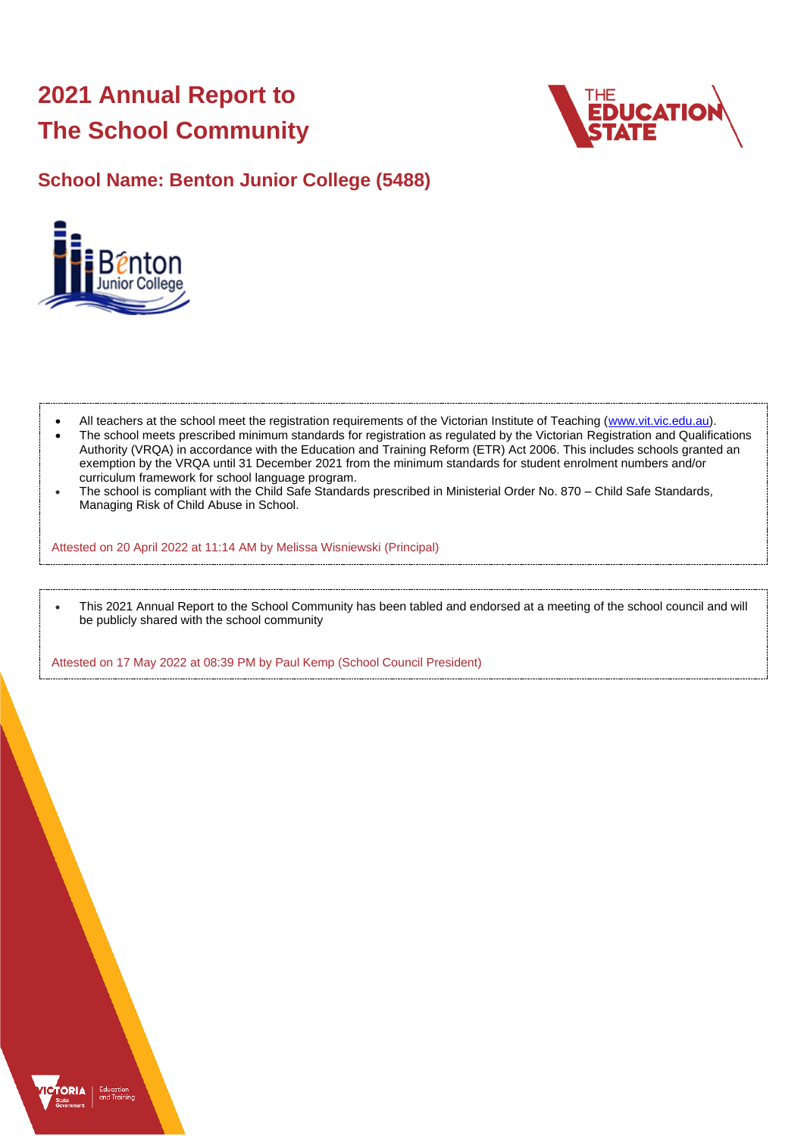# **2021 Annual Report to The School Community**



## **School Name: Benton Junior College (5488)**



- All teachers at the school meet the registration requirements of the Victorian Institute of Teaching [\(www.vit.vic.edu.au\)](https://www.vit.vic.edu.au/).
- The school meets prescribed minimum standards for registration as regulated by the Victorian Registration and Qualifications Authority (VRQA) in accordance with the Education and Training Reform (ETR) Act 2006. This includes schools granted an exemption by the VRQA until 31 December 2021 from the minimum standards for student enrolment numbers and/or curriculum framework for school language program.
- The school is compliant with the Child Safe Standards prescribed in Ministerial Order No. 870 Child Safe Standards, Managing Risk of Child Abuse in School.

Attested on 20 April 2022 at 11:14 AM by Melissa Wisniewski (Principal)

• This 2021 Annual Report to the School Community has been tabled and endorsed at a meeting of the school council and will be publicly shared with the school community

Attested on 17 May 2022 at 08:39 PM by Paul Kemp (School Council President)

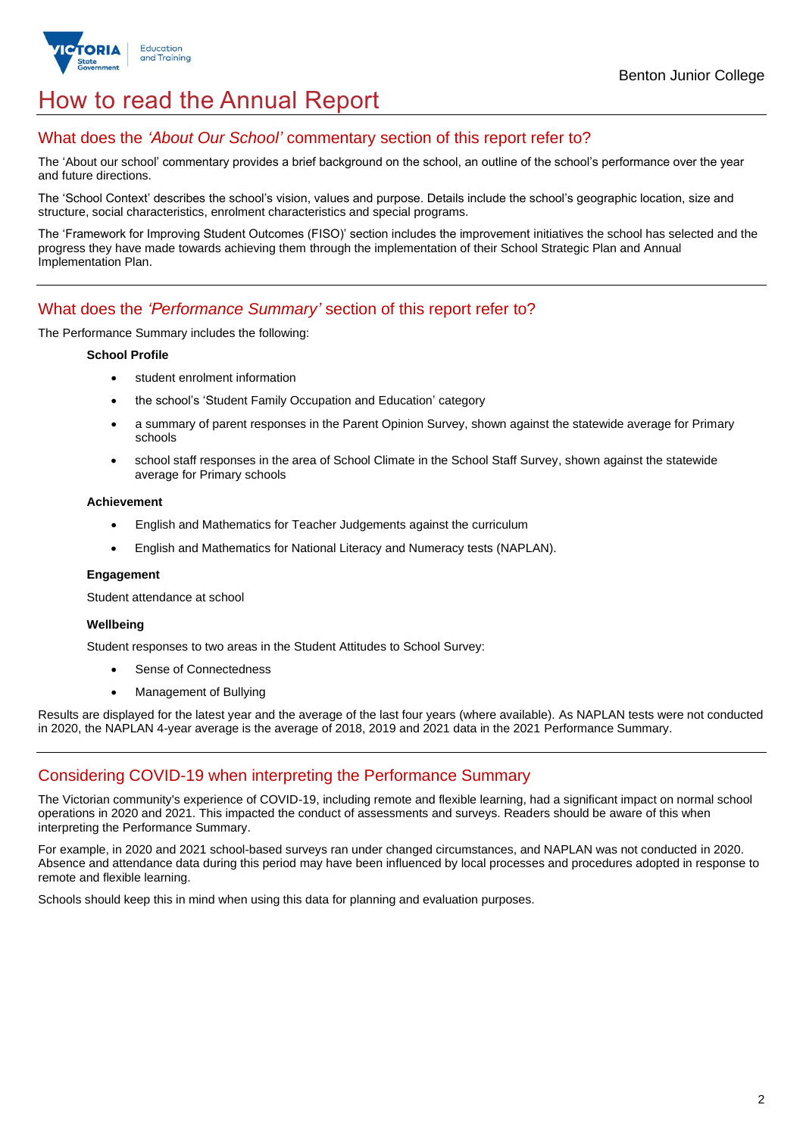

## How to read the Annual Report

## What does the *'About Our School'* commentary section of this report refer to?

The 'About our school' commentary provides a brief background on the school, an outline of the school's performance over the year and future directions.

The 'School Context' describes the school's vision, values and purpose. Details include the school's geographic location, size and structure, social characteristics, enrolment characteristics and special programs.

The 'Framework for Improving Student Outcomes (FISO)' section includes the improvement initiatives the school has selected and the progress they have made towards achieving them through the implementation of their School Strategic Plan and Annual Implementation Plan.

### What does the *'Performance Summary'* section of this report refer to?

The Performance Summary includes the following:

### **School Profile**

- student enrolment information
- the school's 'Student Family Occupation and Education' category
- a summary of parent responses in the Parent Opinion Survey, shown against the statewide average for Primary schools
- school staff responses in the area of School Climate in the School Staff Survey, shown against the statewide average for Primary schools

### **Achievement**

- English and Mathematics for Teacher Judgements against the curriculum
- English and Mathematics for National Literacy and Numeracy tests (NAPLAN).

### **Engagement**

Student attendance at school

### **Wellbeing**

Student responses to two areas in the Student Attitudes to School Survey:

- Sense of Connectedness
- Management of Bullying

Results are displayed for the latest year and the average of the last four years (where available). As NAPLAN tests were not conducted in 2020, the NAPLAN 4-year average is the average of 2018, 2019 and 2021 data in the 2021 Performance Summary.

## Considering COVID-19 when interpreting the Performance Summary

The Victorian community's experience of COVID-19, including remote and flexible learning, had a significant impact on normal school operations in 2020 and 2021. This impacted the conduct of assessments and surveys. Readers should be aware of this when interpreting the Performance Summary.

For example, in 2020 and 2021 school-based surveys ran under changed circumstances, and NAPLAN was not conducted in 2020. Absence and attendance data during this period may have been influenced by local processes and procedures adopted in response to remote and flexible learning.

Schools should keep this in mind when using this data for planning and evaluation purposes.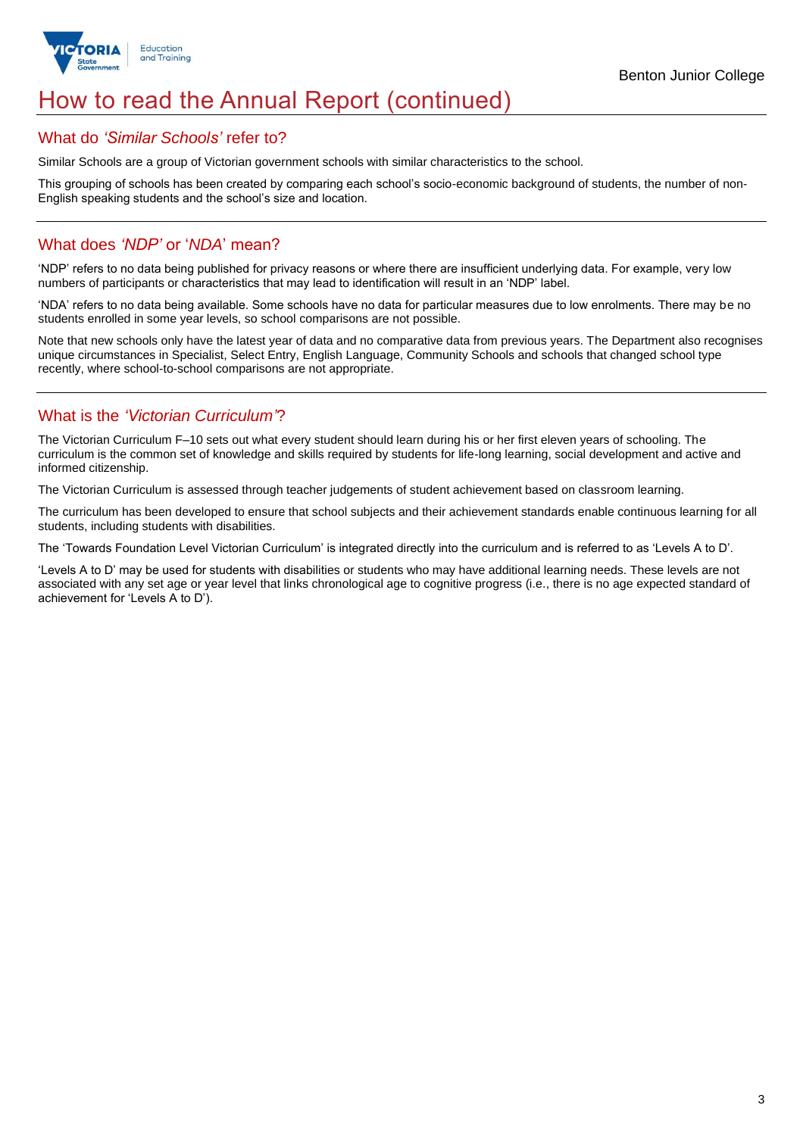

## How to read the Annual Report (continued)

### What do *'Similar Schools'* refer to?

Similar Schools are a group of Victorian government schools with similar characteristics to the school.

This grouping of schools has been created by comparing each school's socio-economic background of students, the number of non-English speaking students and the school's size and location.

## What does *'NDP'* or '*NDA*' mean?

'NDP' refers to no data being published for privacy reasons or where there are insufficient underlying data. For example, very low numbers of participants or characteristics that may lead to identification will result in an 'NDP' label.

'NDA' refers to no data being available. Some schools have no data for particular measures due to low enrolments. There may be no students enrolled in some year levels, so school comparisons are not possible.

Note that new schools only have the latest year of data and no comparative data from previous years. The Department also recognises unique circumstances in Specialist, Select Entry, English Language, Community Schools and schools that changed school type recently, where school-to-school comparisons are not appropriate.

## What is the *'Victorian Curriculum'*?

The Victorian Curriculum F–10 sets out what every student should learn during his or her first eleven years of schooling. The curriculum is the common set of knowledge and skills required by students for life-long learning, social development and active and informed citizenship.

The Victorian Curriculum is assessed through teacher judgements of student achievement based on classroom learning.

The curriculum has been developed to ensure that school subjects and their achievement standards enable continuous learning for all students, including students with disabilities.

The 'Towards Foundation Level Victorian Curriculum' is integrated directly into the curriculum and is referred to as 'Levels A to D'.

'Levels A to D' may be used for students with disabilities or students who may have additional learning needs. These levels are not associated with any set age or year level that links chronological age to cognitive progress (i.e., there is no age expected standard of achievement for 'Levels A to D').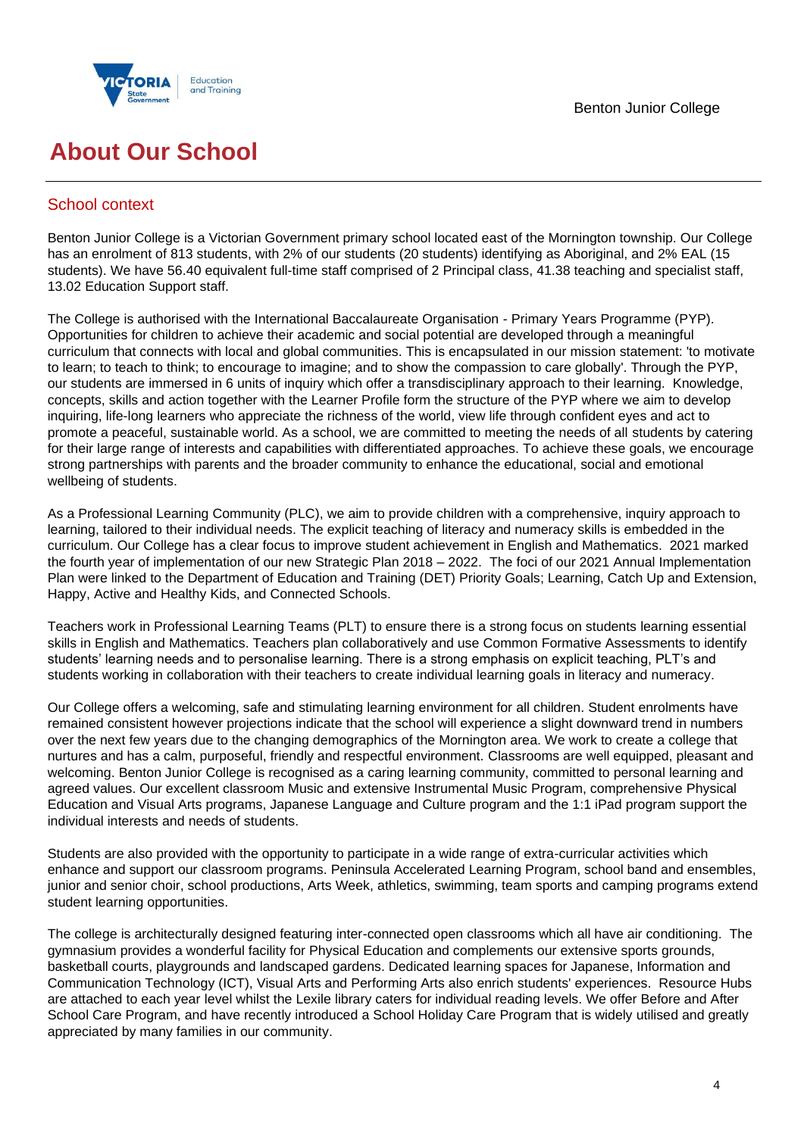



## **About Our School**

## School context

Benton Junior College is a Victorian Government primary school located east of the Mornington township. Our College has an enrolment of 813 students, with 2% of our students (20 students) identifying as Aboriginal, and 2% EAL (15 students). We have 56.40 equivalent full-time staff comprised of 2 Principal class, 41.38 teaching and specialist staff, 13.02 Education Support staff.

The College is authorised with the International Baccalaureate Organisation - Primary Years Programme (PYP). Opportunities for children to achieve their academic and social potential are developed through a meaningful curriculum that connects with local and global communities. This is encapsulated in our mission statement: 'to motivate to learn; to teach to think; to encourage to imagine; and to show the compassion to care globally'. Through the PYP, our students are immersed in 6 units of inquiry which offer a transdisciplinary approach to their learning. Knowledge, concepts, skills and action together with the Learner Profile form the structure of the PYP where we aim to develop inquiring, life-long learners who appreciate the richness of the world, view life through confident eyes and act to promote a peaceful, sustainable world. As a school, we are committed to meeting the needs of all students by catering for their large range of interests and capabilities with differentiated approaches. To achieve these goals, we encourage strong partnerships with parents and the broader community to enhance the educational, social and emotional wellbeing of students.

As a Professional Learning Community (PLC), we aim to provide children with a comprehensive, inquiry approach to learning, tailored to their individual needs. The explicit teaching of literacy and numeracy skills is embedded in the curriculum. Our College has a clear focus to improve student achievement in English and Mathematics. 2021 marked the fourth year of implementation of our new Strategic Plan 2018 – 2022. The foci of our 2021 Annual Implementation Plan were linked to the Department of Education and Training (DET) Priority Goals; Learning, Catch Up and Extension, Happy, Active and Healthy Kids, and Connected Schools.

Teachers work in Professional Learning Teams (PLT) to ensure there is a strong focus on students learning essential skills in English and Mathematics. Teachers plan collaboratively and use Common Formative Assessments to identify students' learning needs and to personalise learning. There is a strong emphasis on explicit teaching, PLT's and students working in collaboration with their teachers to create individual learning goals in literacy and numeracy.

Our College offers a welcoming, safe and stimulating learning environment for all children. Student enrolments have remained consistent however projections indicate that the school will experience a slight downward trend in numbers over the next few years due to the changing demographics of the Mornington area. We work to create a college that nurtures and has a calm, purposeful, friendly and respectful environment. Classrooms are well equipped, pleasant and welcoming. Benton Junior College is recognised as a caring learning community, committed to personal learning and agreed values. Our excellent classroom Music and extensive Instrumental Music Program, comprehensive Physical Education and Visual Arts programs, Japanese Language and Culture program and the 1:1 iPad program support the individual interests and needs of students.

Students are also provided with the opportunity to participate in a wide range of extra-curricular activities which enhance and support our classroom programs. Peninsula Accelerated Learning Program, school band and ensembles, junior and senior choir, school productions, Arts Week, athletics, swimming, team sports and camping programs extend student learning opportunities.

The college is architecturally designed featuring inter-connected open classrooms which all have air conditioning. The gymnasium provides a wonderful facility for Physical Education and complements our extensive sports grounds, basketball courts, playgrounds and landscaped gardens. Dedicated learning spaces for Japanese, Information and Communication Technology (ICT), Visual Arts and Performing Arts also enrich students' experiences. Resource Hubs are attached to each year level whilst the Lexile library caters for individual reading levels. We offer Before and After School Care Program, and have recently introduced a School Holiday Care Program that is widely utilised and greatly appreciated by many families in our community.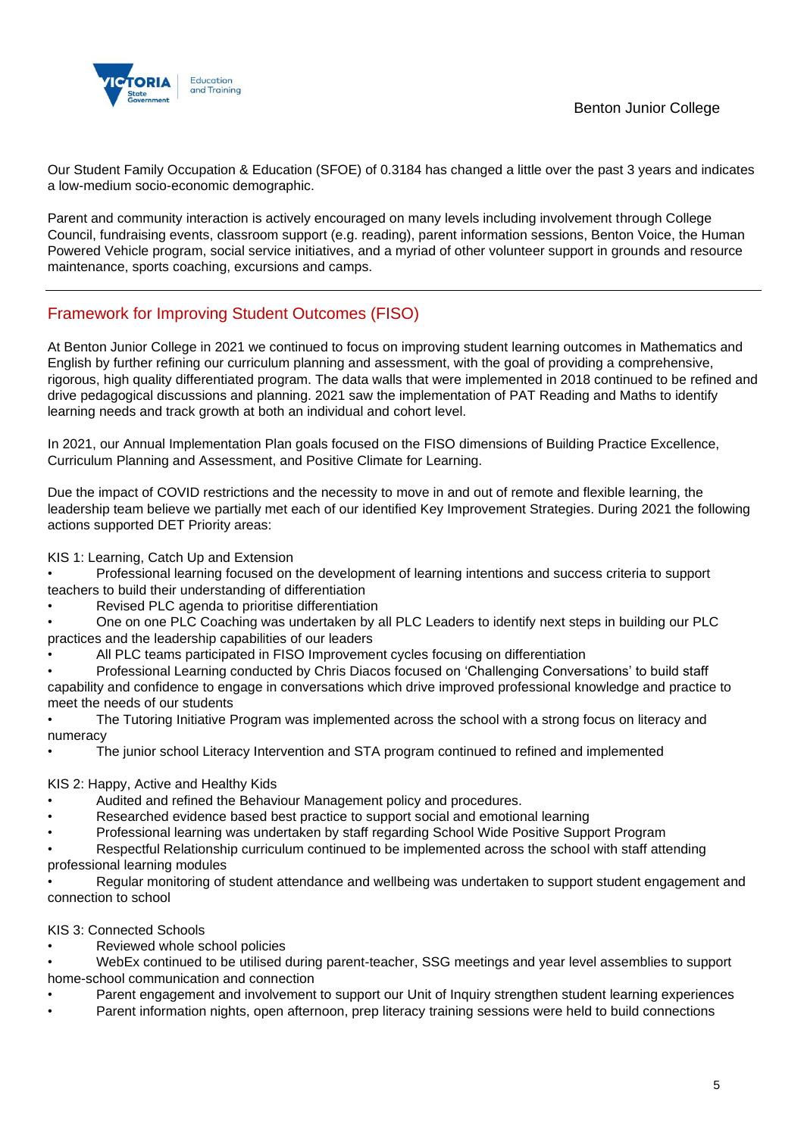

Our Student Family Occupation & Education (SFOE) of 0.3184 has changed a little over the past 3 years and indicates a low-medium socio-economic demographic.

Parent and community interaction is actively encouraged on many levels including involvement through College Council, fundraising events, classroom support (e.g. reading), parent information sessions, Benton Voice, the Human Powered Vehicle program, social service initiatives, and a myriad of other volunteer support in grounds and resource maintenance, sports coaching, excursions and camps.

## Framework for Improving Student Outcomes (FISO)

At Benton Junior College in 2021 we continued to focus on improving student learning outcomes in Mathematics and English by further refining our curriculum planning and assessment, with the goal of providing a comprehensive, rigorous, high quality differentiated program. The data walls that were implemented in 2018 continued to be refined and drive pedagogical discussions and planning. 2021 saw the implementation of PAT Reading and Maths to identify learning needs and track growth at both an individual and cohort level.

In 2021, our Annual Implementation Plan goals focused on the FISO dimensions of Building Practice Excellence, Curriculum Planning and Assessment, and Positive Climate for Learning.

Due the impact of COVID restrictions and the necessity to move in and out of remote and flexible learning, the leadership team believe we partially met each of our identified Key Improvement Strategies. During 2021 the following actions supported DET Priority areas:

KIS 1: Learning, Catch Up and Extension

• Professional learning focused on the development of learning intentions and success criteria to support teachers to build their understanding of differentiation

• Revised PLC agenda to prioritise differentiation

• One on one PLC Coaching was undertaken by all PLC Leaders to identify next steps in building our PLC practices and the leadership capabilities of our leaders

• All PLC teams participated in FISO Improvement cycles focusing on differentiation

Professional Learning conducted by Chris Diacos focused on 'Challenging Conversations' to build staff capability and confidence to engage in conversations which drive improved professional knowledge and practice to meet the needs of our students

• The Tutoring Initiative Program was implemented across the school with a strong focus on literacy and numeracy

• The junior school Literacy Intervention and STA program continued to refined and implemented

### KIS 2: Happy, Active and Healthy Kids

- Audited and refined the Behaviour Management policy and procedures.
- Researched evidence based best practice to support social and emotional learning
- Professional learning was undertaken by staff regarding School Wide Positive Support Program

• Respectful Relationship curriculum continued to be implemented across the school with staff attending professional learning modules

• Regular monitoring of student attendance and wellbeing was undertaken to support student engagement and connection to school

### KIS 3: Connected Schools

Reviewed whole school policies

• WebEx continued to be utilised during parent-teacher, SSG meetings and year level assemblies to support home-school communication and connection

- Parent engagement and involvement to support our Unit of Inquiry strengthen student learning experiences
- Parent information nights, open afternoon, prep literacy training sessions were held to build connections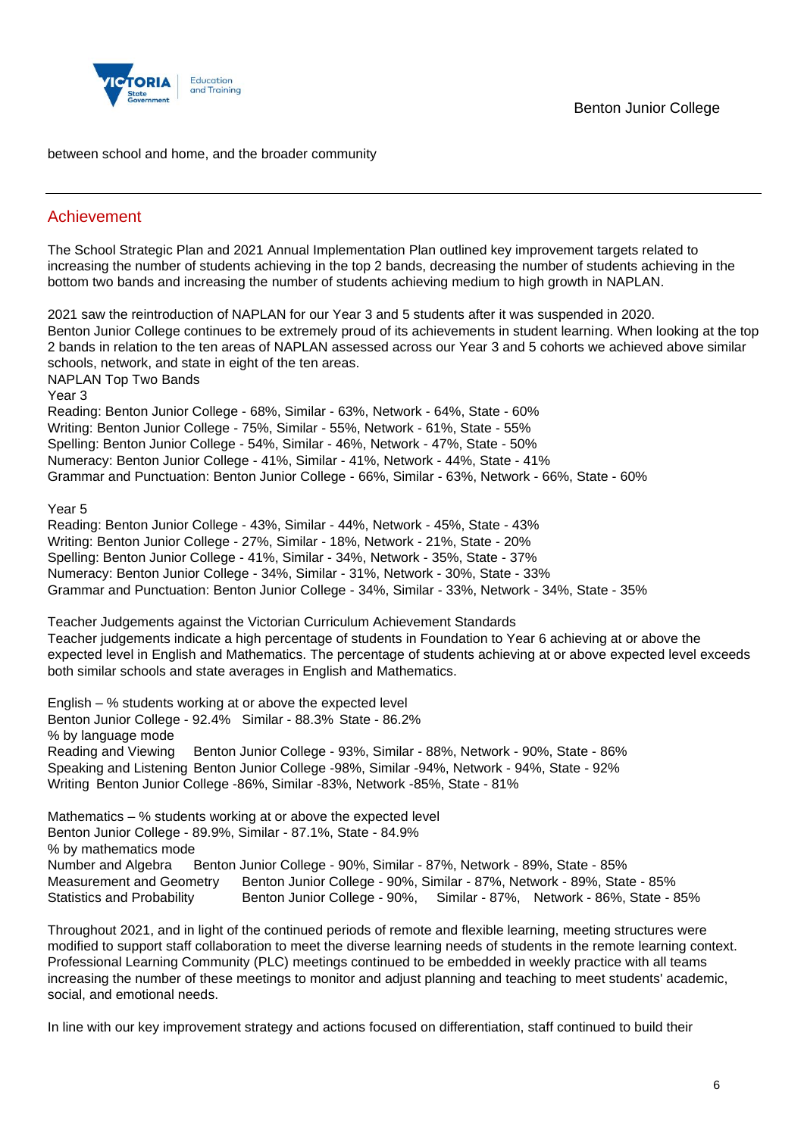

between school and home, and the broader community

## Achievement

The School Strategic Plan and 2021 Annual Implementation Plan outlined key improvement targets related to increasing the number of students achieving in the top 2 bands, decreasing the number of students achieving in the bottom two bands and increasing the number of students achieving medium to high growth in NAPLAN.

2021 saw the reintroduction of NAPLAN for our Year 3 and 5 students after it was suspended in 2020. Benton Junior College continues to be extremely proud of its achievements in student learning. When looking at the top 2 bands in relation to the ten areas of NAPLAN assessed across our Year 3 and 5 cohorts we achieved above similar schools, network, and state in eight of the ten areas. NAPLAN Top Two Bands Year 3 Reading: Benton Junior College - 68%, Similar - 63%, Network - 64%, State - 60% Writing: Benton Junior College - 75%, Similar - 55%, Network - 61%, State - 55% Spelling: Benton Junior College - 54%, Similar - 46%, Network - 47%, State - 50% Numeracy: Benton Junior College - 41%, Similar - 41%, Network - 44%, State - 41% Grammar and Punctuation: Benton Junior College - 66%, Similar - 63%, Network - 66%, State - 60% Year 5 Reading: Benton Junior College - 43%, Similar - 44%, Network - 45%, State - 43% Writing: Benton Junior College - 27%, Similar - 18%, Network - 21%, State - 20% Spelling: Benton Junior College - 41%, Similar - 34%, Network - 35%, State - 37% Numeracy: Benton Junior College - 34%, Similar - 31%, Network - 30%, State - 33% Grammar and Punctuation: Benton Junior College - 34%, Similar - 33%, Network - 34%, State - 35% Teacher Judgements against the Victorian Curriculum Achievement Standards Teacher judgements indicate a high percentage of students in Foundation to Year 6 achieving at or above the expected level in English and Mathematics. The percentage of students achieving at or above expected level exceeds both similar schools and state averages in English and Mathematics. English – % students working at or above the expected level Benton Junior College - 92.4% Similar - 88.3% State - 86.2% % by language mode Reading and Viewing Benton Junior College - 93%, Similar - 88%, Network - 90%, State - 86% Speaking and Listening Benton Junior College -98%, Similar -94%, Network - 94%, State - 92% Writing Benton Junior College -86%, Similar -83%, Network -85%, State - 81% Mathematics – % students working at or above the expected level Benton Junior College - 89.9%, Similar - 87.1%, State - 84.9% % by mathematics mode Number and Algebra Benton Junior College - 90%, Similar - 87%, Network - 89%, State - 85% Measurement and Geometry Benton Junior College - 90%, Similar - 87%, Network - 89%, State - 85% Statistics and Probability Benton Junior College - 90%, Similar - 87%, Network - 86%, State - 85%

Throughout 2021, and in light of the continued periods of remote and flexible learning, meeting structures were modified to support staff collaboration to meet the diverse learning needs of students in the remote learning context. Professional Learning Community (PLC) meetings continued to be embedded in weekly practice with all teams increasing the number of these meetings to monitor and adjust planning and teaching to meet students' academic, social, and emotional needs.

In line with our key improvement strategy and actions focused on differentiation, staff continued to build their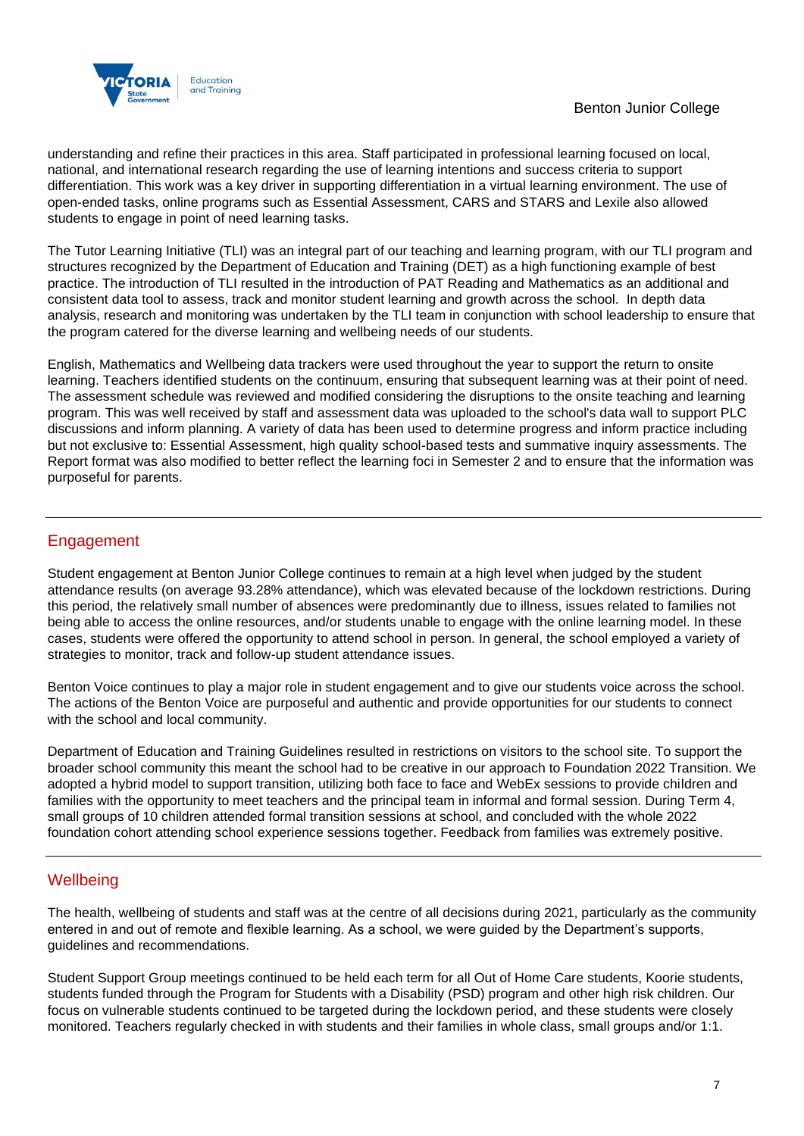

understanding and refine their practices in this area. Staff participated in professional learning focused on local, national, and international research regarding the use of learning intentions and success criteria to support differentiation. This work was a key driver in supporting differentiation in a virtual learning environment. The use of open-ended tasks, online programs such as Essential Assessment, CARS and STARS and Lexile also allowed students to engage in point of need learning tasks.

The Tutor Learning Initiative (TLI) was an integral part of our teaching and learning program, with our TLI program and structures recognized by the Department of Education and Training (DET) as a high functioning example of best practice. The introduction of TLI resulted in the introduction of PAT Reading and Mathematics as an additional and consistent data tool to assess, track and monitor student learning and growth across the school. In depth data analysis, research and monitoring was undertaken by the TLI team in conjunction with school leadership to ensure that the program catered for the diverse learning and wellbeing needs of our students.

English, Mathematics and Wellbeing data trackers were used throughout the year to support the return to onsite learning. Teachers identified students on the continuum, ensuring that subsequent learning was at their point of need. The assessment schedule was reviewed and modified considering the disruptions to the onsite teaching and learning program. This was well received by staff and assessment data was uploaded to the school's data wall to support PLC discussions and inform planning. A variety of data has been used to determine progress and inform practice including but not exclusive to: Essential Assessment, high quality school-based tests and summative inquiry assessments. The Report format was also modified to better reflect the learning foci in Semester 2 and to ensure that the information was purposeful for parents.

## Engagement

Student engagement at Benton Junior College continues to remain at a high level when judged by the student attendance results (on average 93.28% attendance), which was elevated because of the lockdown restrictions. During this period, the relatively small number of absences were predominantly due to illness, issues related to families not being able to access the online resources, and/or students unable to engage with the online learning model. In these cases, students were offered the opportunity to attend school in person. In general, the school employed a variety of strategies to monitor, track and follow-up student attendance issues.

Benton Voice continues to play a major role in student engagement and to give our students voice across the school. The actions of the Benton Voice are purposeful and authentic and provide opportunities for our students to connect with the school and local community.

Department of Education and Training Guidelines resulted in restrictions on visitors to the school site. To support the broader school community this meant the school had to be creative in our approach to Foundation 2022 Transition. We adopted a hybrid model to support transition, utilizing both face to face and WebEx sessions to provide children and families with the opportunity to meet teachers and the principal team in informal and formal session. During Term 4, small groups of 10 children attended formal transition sessions at school, and concluded with the whole 2022 foundation cohort attending school experience sessions together. Feedback from families was extremely positive.

## **Wellbeing**

The health, wellbeing of students and staff was at the centre of all decisions during 2021, particularly as the community entered in and out of remote and flexible learning. As a school, we were guided by the Department's supports, guidelines and recommendations.

Student Support Group meetings continued to be held each term for all Out of Home Care students, Koorie students, students funded through the Program for Students with a Disability (PSD) program and other high risk children. Our focus on vulnerable students continued to be targeted during the lockdown period, and these students were closely monitored. Teachers regularly checked in with students and their families in whole class, small groups and/or 1:1.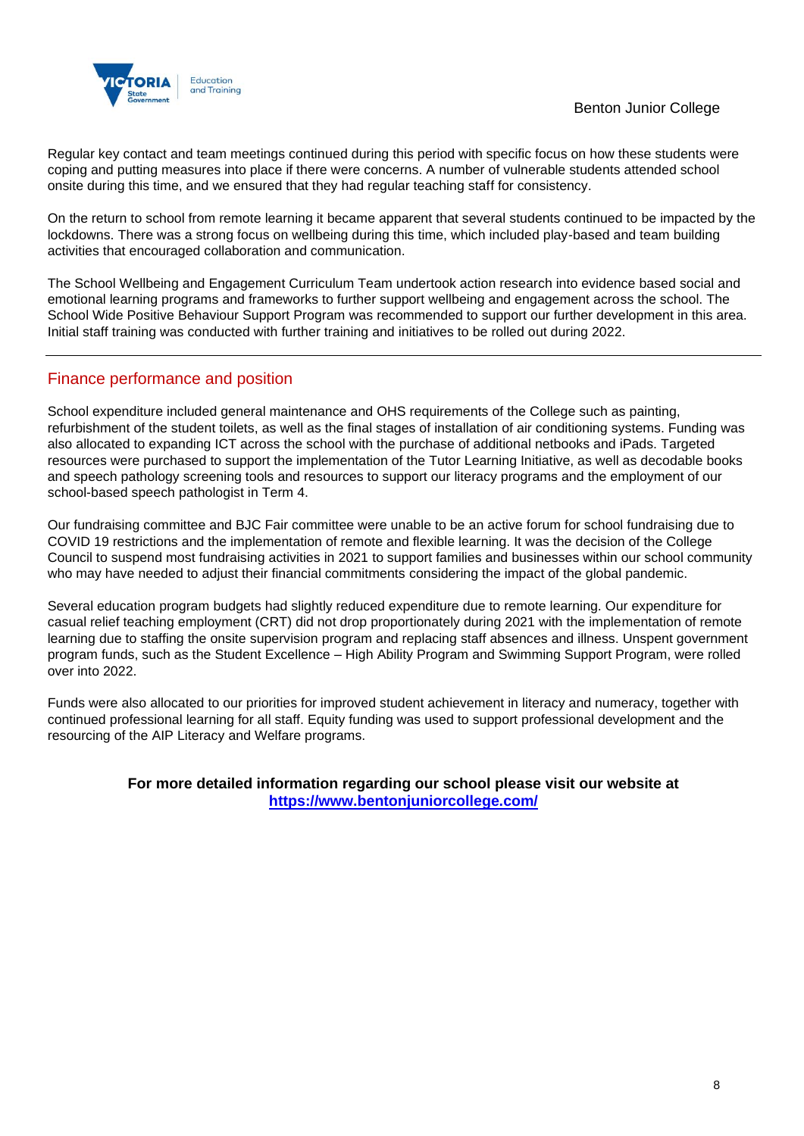

Regular key contact and team meetings continued during this period with specific focus on how these students were coping and putting measures into place if there were concerns. A number of vulnerable students attended school onsite during this time, and we ensured that they had regular teaching staff for consistency.

On the return to school from remote learning it became apparent that several students continued to be impacted by the lockdowns. There was a strong focus on wellbeing during this time, which included play-based and team building activities that encouraged collaboration and communication.

The School Wellbeing and Engagement Curriculum Team undertook action research into evidence based social and emotional learning programs and frameworks to further support wellbeing and engagement across the school. The School Wide Positive Behaviour Support Program was recommended to support our further development in this area. Initial staff training was conducted with further training and initiatives to be rolled out during 2022.

## Finance performance and position

School expenditure included general maintenance and OHS requirements of the College such as painting, refurbishment of the student toilets, as well as the final stages of installation of air conditioning systems. Funding was also allocated to expanding ICT across the school with the purchase of additional netbooks and iPads. Targeted resources were purchased to support the implementation of the Tutor Learning Initiative, as well as decodable books and speech pathology screening tools and resources to support our literacy programs and the employment of our school-based speech pathologist in Term 4.

Our fundraising committee and BJC Fair committee were unable to be an active forum for school fundraising due to COVID 19 restrictions and the implementation of remote and flexible learning. It was the decision of the College Council to suspend most fundraising activities in 2021 to support families and businesses within our school community who may have needed to adjust their financial commitments considering the impact of the global pandemic.

Several education program budgets had slightly reduced expenditure due to remote learning. Our expenditure for casual relief teaching employment (CRT) did not drop proportionately during 2021 with the implementation of remote learning due to staffing the onsite supervision program and replacing staff absences and illness. Unspent government program funds, such as the Student Excellence – High Ability Program and Swimming Support Program, were rolled over into 2022.

Funds were also allocated to our priorities for improved student achievement in literacy and numeracy, together with continued professional learning for all staff. Equity funding was used to support professional development and the resourcing of the AIP Literacy and Welfare programs.

### **For more detailed information regarding our school please visit our website at <https://www.bentonjuniorcollege.com/>**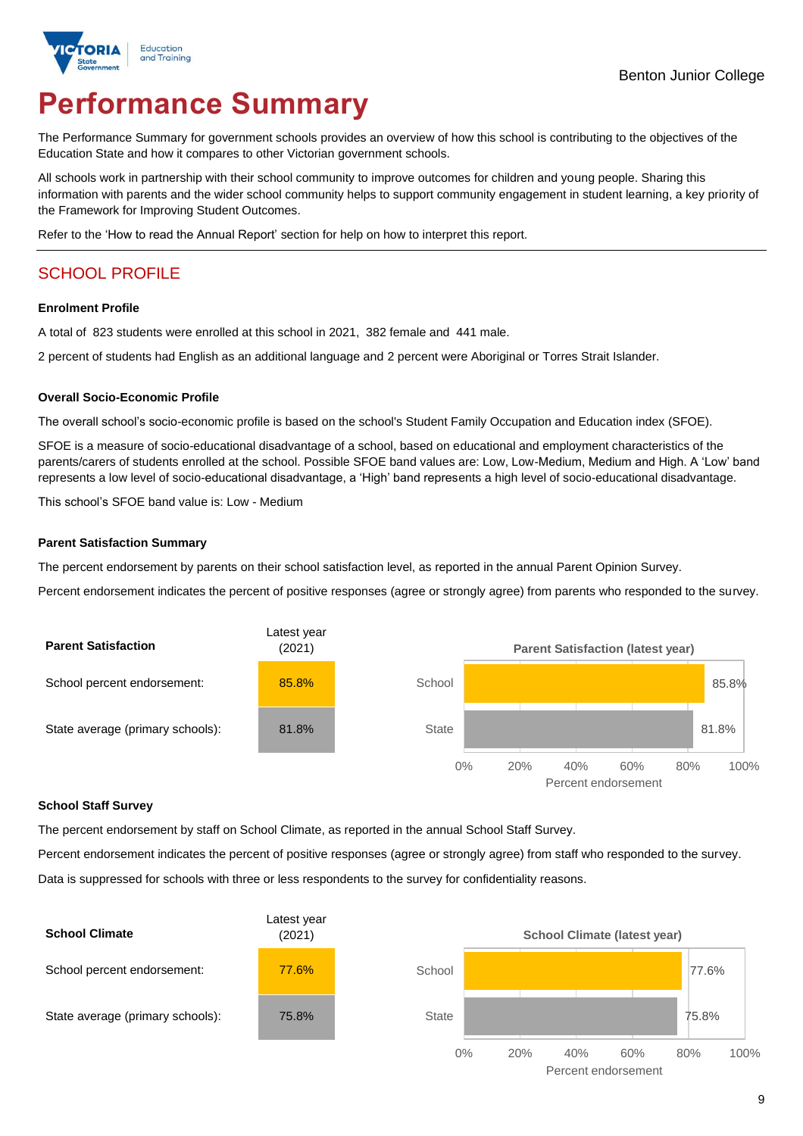

# **Performance Summary**

The Performance Summary for government schools provides an overview of how this school is contributing to the objectives of the Education State and how it compares to other Victorian government schools.

All schools work in partnership with their school community to improve outcomes for children and young people. Sharing this information with parents and the wider school community helps to support community engagement in student learning, a key priority of the Framework for Improving Student Outcomes.

Refer to the 'How to read the Annual Report' section for help on how to interpret this report.

## SCHOOL PROFILE

### **Enrolment Profile**

A total of 823 students were enrolled at this school in 2021, 382 female and 441 male.

2 percent of students had English as an additional language and 2 percent were Aboriginal or Torres Strait Islander.

### **Overall Socio-Economic Profile**

The overall school's socio-economic profile is based on the school's Student Family Occupation and Education index (SFOE).

SFOE is a measure of socio-educational disadvantage of a school, based on educational and employment characteristics of the parents/carers of students enrolled at the school. Possible SFOE band values are: Low, Low-Medium, Medium and High. A 'Low' band represents a low level of socio-educational disadvantage, a 'High' band represents a high level of socio-educational disadvantage.

This school's SFOE band value is: Low - Medium

### **Parent Satisfaction Summary**

The percent endorsement by parents on their school satisfaction level, as reported in the annual Parent Opinion Survey.

Percent endorsement indicates the percent of positive responses (agree or strongly agree) from parents who responded to the survey.



### **School Staff Survey**

The percent endorsement by staff on School Climate, as reported in the annual School Staff Survey.

Percent endorsement indicates the percent of positive responses (agree or strongly agree) from staff who responded to the survey. Data is suppressed for schools with three or less respondents to the survey for confidentiality reasons.

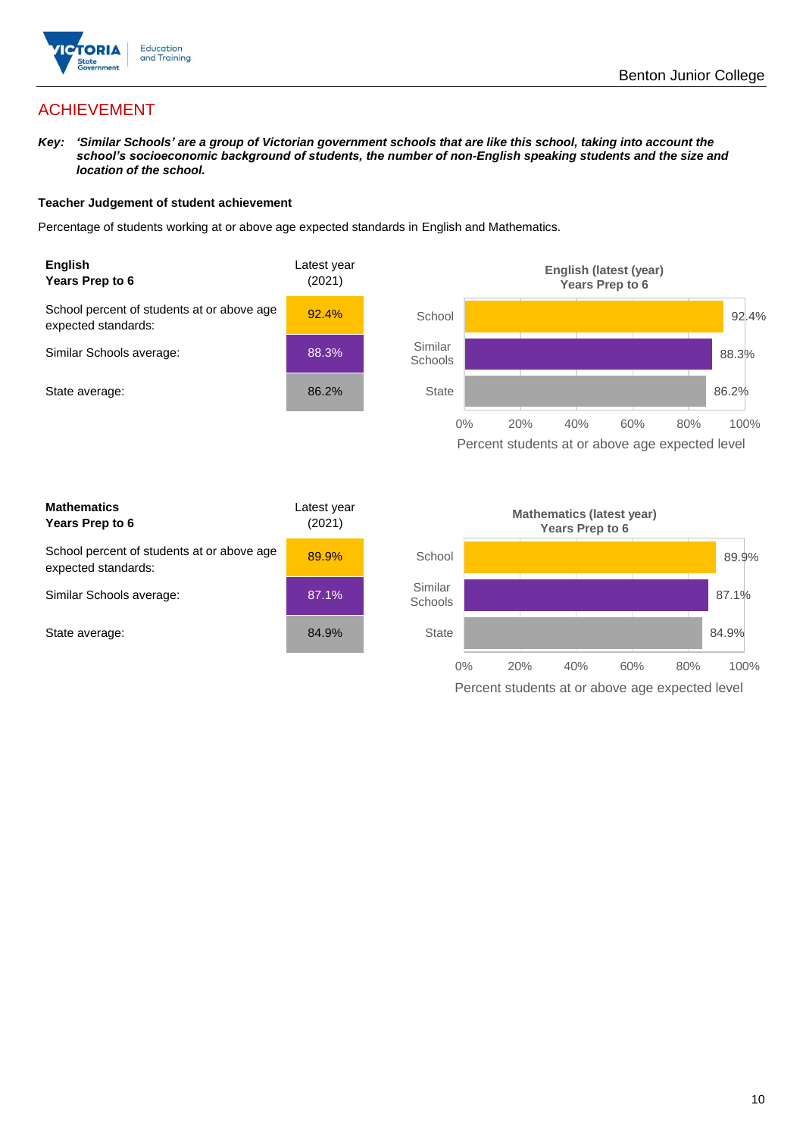

## ACHIEVEMENT

*Key: 'Similar Schools' are a group of Victorian government schools that are like this school, taking into account the school's socioeconomic background of students, the number of non-English speaking students and the size and location of the school.*

### **Teacher Judgement of student achievement**

Percentage of students working at or above age expected standards in English and Mathematics.



Percent students at or above age expected level

| <b>Mathematics</b><br>Years Prep to 6                             | Latest year<br>(2021) |
|-------------------------------------------------------------------|-----------------------|
| School percent of students at or above age<br>expected standards: | 89.9%                 |
| Similar Schools average:                                          | 87.1%                 |
| State average:                                                    | 84.9%                 |

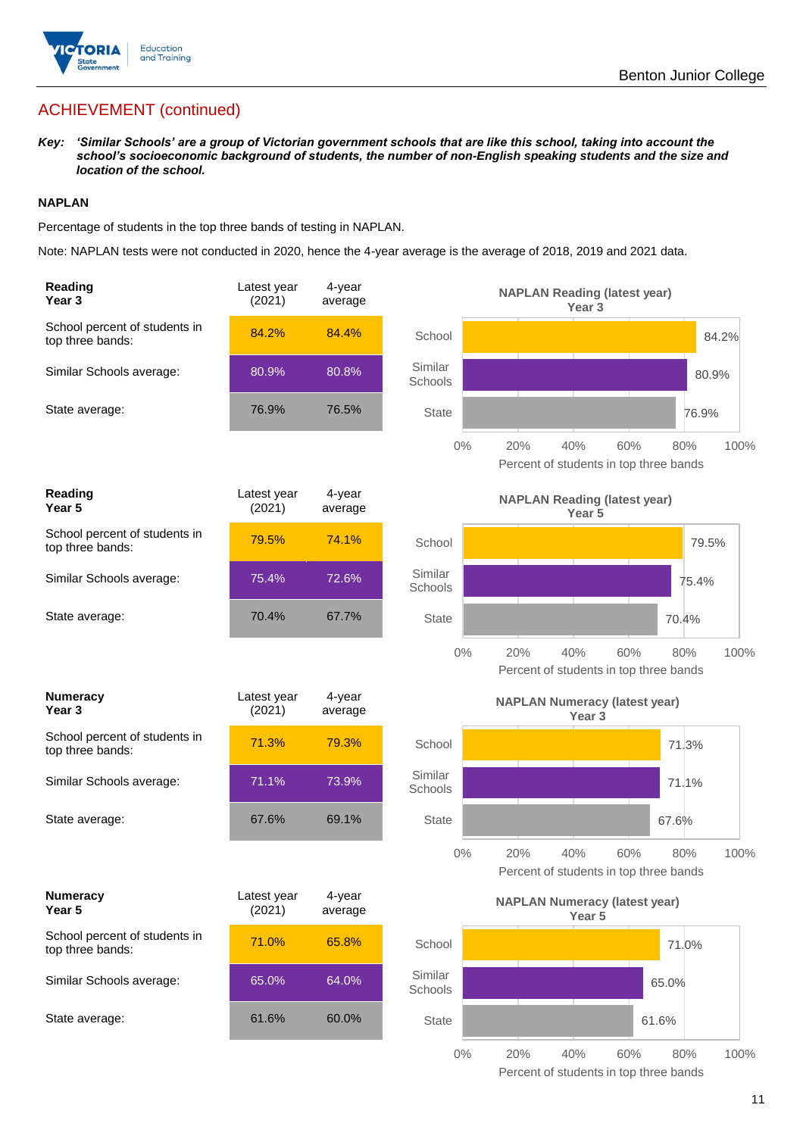

## ACHIEVEMENT (continued)

*Key: 'Similar Schools' are a group of Victorian government schools that are like this school, taking into account the school's socioeconomic background of students, the number of non-English speaking students and the size and location of the school.*

### **NAPLAN**

Percentage of students in the top three bands of testing in NAPLAN.

Note: NAPLAN tests were not conducted in 2020, hence the 4-year average is the average of 2018, 2019 and 2021 data.

| Reading<br>Year <sub>3</sub>                      | Latest year<br>(2021) | $4$ -year<br>average |                    | <b>NAPLAN Reading (latest year)</b><br>Year <sub>3</sub>  |                                                      |       |
|---------------------------------------------------|-----------------------|----------------------|--------------------|-----------------------------------------------------------|------------------------------------------------------|-------|
| School percent of students in<br>top three bands: | 84.2%                 | 84.4%                | School             |                                                           |                                                      | 84.2% |
| Similar Schools average:                          | 80.9%                 | 80.8%                | Similar<br>Schools |                                                           |                                                      | 80.9% |
| State average:                                    | 76.9%                 | 76.5%                | <b>State</b>       |                                                           | 76.9%                                                |       |
|                                                   |                       |                      | 0%                 | 20%<br>40%                                                | 60%<br>80%<br>Percent of students in top three bands | 100%  |
| <b>Reading</b><br>Year <sub>5</sub>               | Latest year<br>(2021) | 4-year<br>average    |                    | <b>NAPLAN Reading (latest year)</b><br>Year 5             |                                                      |       |
| School percent of students in<br>top three bands: | 79.5%                 | 74.1%                | School             |                                                           |                                                      | 79.5% |
| Similar Schools average:                          | 75.4%                 | 72.6%                | Similar<br>Schools |                                                           | 75.4%                                                |       |
| State average:                                    | 70.4%                 | 67.7%                | <b>State</b>       |                                                           | 70.4%                                                |       |
|                                                   |                       |                      | $0\%$              | 20%<br>40%                                                | 60%<br>80%<br>Percent of students in top three bands | 100%  |
| <b>Numeracy</b><br>Year <sub>3</sub>              | Latest year<br>(2021) | 4-year<br>average    |                    | <b>NAPLAN Numeracy (latest year)</b><br>Year <sub>3</sub> |                                                      |       |
| School percent of students in<br>top three bands: | 71.3%                 | 79.3%                | School             |                                                           | 71.3%                                                |       |
| Similar Schools average:                          | 71.1%                 | 73.9%                | Similar<br>Schools |                                                           | 71.1%                                                |       |
| State average:                                    | 67.6%                 | 69.1%                | <b>State</b>       |                                                           | 67.6%                                                |       |
|                                                   |                       |                      | $0\%$              | 20%<br>40%                                                | 60%<br>80%<br>Percent of students in top three bands | 100%  |
| <b>Numeracy</b><br>Year 5                         | Latest year<br>(2021) | 4-year<br>average    |                    | <b>NAPLAN Numeracy (latest year)</b><br>Year 5            |                                                      |       |
| School percent of students in<br>top three bands: | 71.0%                 | 65.8%                | School             |                                                           | 71.0%                                                |       |
| Similar Schools average:                          | 65.0%                 | 64.0%                | Similar<br>Schools |                                                           | 65.0%                                                |       |
| State average:                                    | 61.6%                 | 60.0%                | <b>State</b>       |                                                           | 61.6%                                                |       |
|                                                   |                       |                      | $0\%$              | 20%<br>40%                                                | 60%<br>80%                                           | 100%  |

Percent of students in top three bands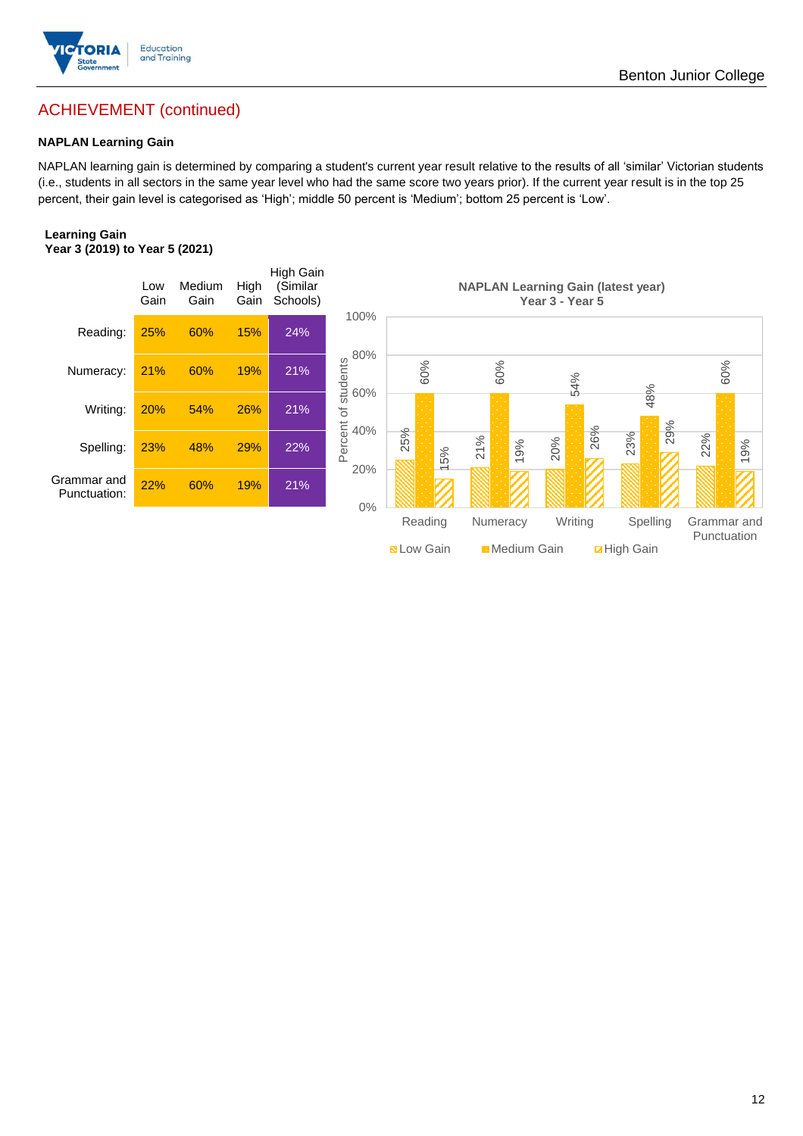

## ACHIEVEMENT (continued)

### **NAPLAN Learning Gain**

NAPLAN learning gain is determined by comparing a student's current year result relative to the results of all 'similar' Victorian students (i.e., students in all sectors in the same year level who had the same score two years prior). If the current year result is in the top 25 percent, their gain level is categorised as 'High'; middle 50 percent is 'Medium'; bottom 25 percent is 'Low'.

### **Learning Gain Year 3 (2019) to Year 5 (2021)**

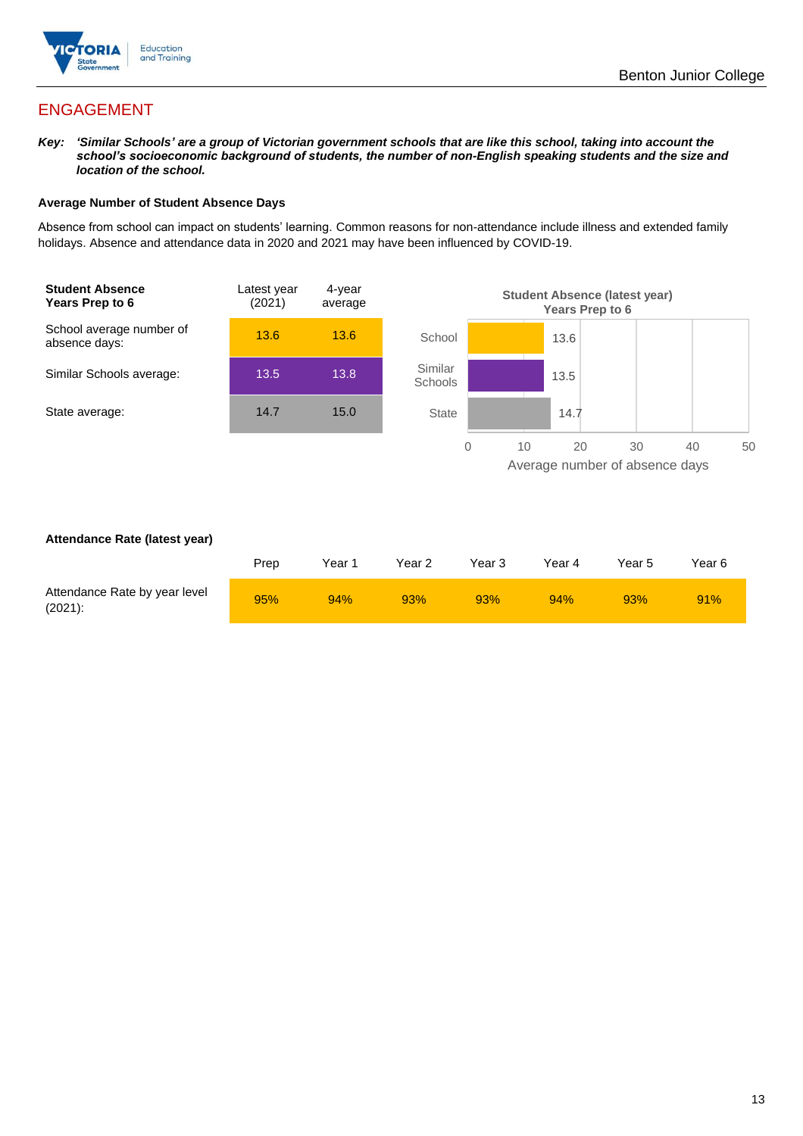

## ENGAGEMENT

*Key: 'Similar Schools' are a group of Victorian government schools that are like this school, taking into account the school's socioeconomic background of students, the number of non-English speaking students and the size and location of the school.*

### **Average Number of Student Absence Days**

Absence from school can impact on students' learning. Common reasons for non-attendance include illness and extended family holidays. Absence and attendance data in 2020 and 2021 may have been influenced by COVID-19.



### **Attendance Rate (latest year)**

|                                             | Prep | Year 1 | Year 2 | Year 3 | Year 4 | Year 5 | Year 6 |
|---------------------------------------------|------|--------|--------|--------|--------|--------|--------|
| Attendance Rate by year level<br>$(2021)$ : | 95%  | 94%    | 93%    | 93%    | 94%    | 93%    | 91%    |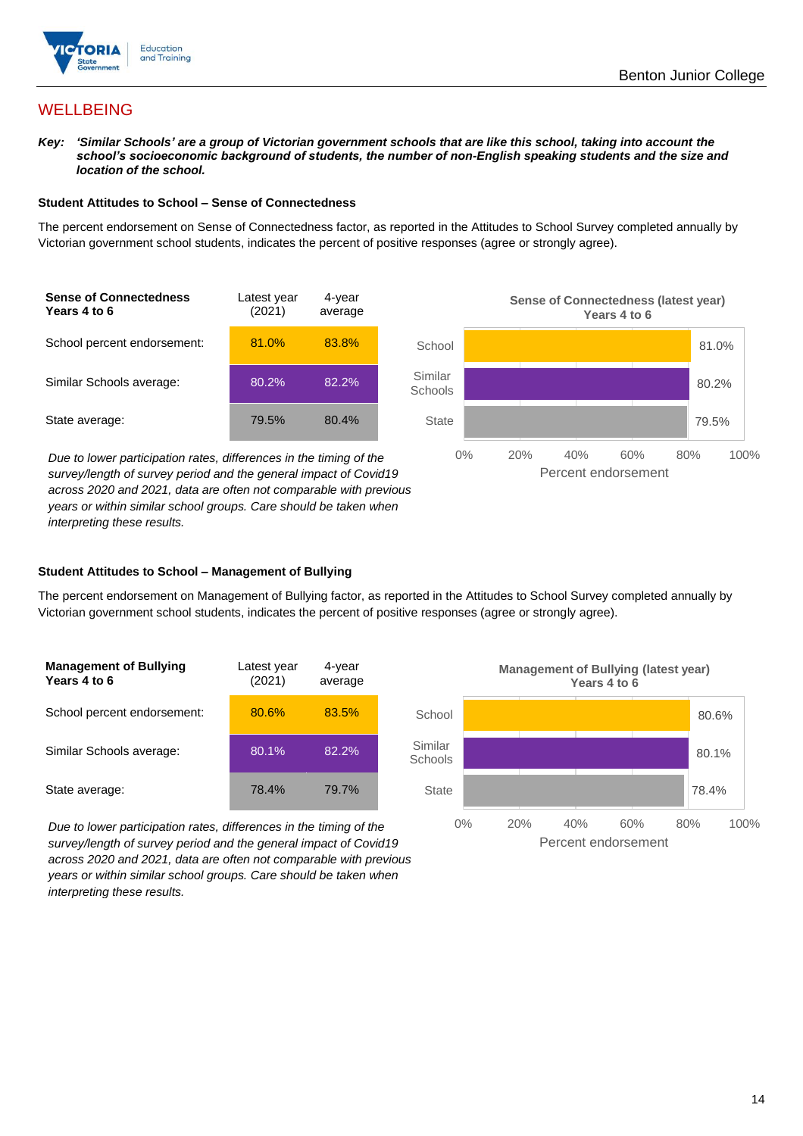

## **WELLBEING**

*Key: 'Similar Schools' are a group of Victorian government schools that are like this school, taking into account the*  school's socioeconomic background of students, the number of non-English speaking students and the size and *location of the school.*

### **Student Attitudes to School – Sense of Connectedness**

The percent endorsement on Sense of Connectedness factor, as reported in the Attitudes to School Survey completed annually by Victorian government school students, indicates the percent of positive responses (agree or strongly agree).



*Due to lower participation rates, differences in the timing of the survey/length of survey period and the general impact of Covid19 across 2020 and 2021, data are often not comparable with previous years or within similar school groups. Care should be taken when interpreting these results.*



### **Student Attitudes to School – Management of Bullying**

The percent endorsement on Management of Bullying factor, as reported in the Attitudes to School Survey completed annually by Victorian government school students, indicates the percent of positive responses (agree or strongly agree).

| <b>Management of Bullying</b><br>Years 4 to 6 | Latest year<br>(2021) | 4-year<br>average |  |
|-----------------------------------------------|-----------------------|-------------------|--|
| School percent endorsement:                   | 80.6%                 | 83.5%             |  |
| Similar Schools average:                      | 80.1%                 | 82.2%             |  |
| State average:                                | 78.4%                 | 79.7%             |  |

*Due to lower participation rates, differences in the timing of the survey/length of survey period and the general impact of Covid19 across 2020 and 2021, data are often not comparable with previous years or within similar school groups. Care should be taken when interpreting these results.*

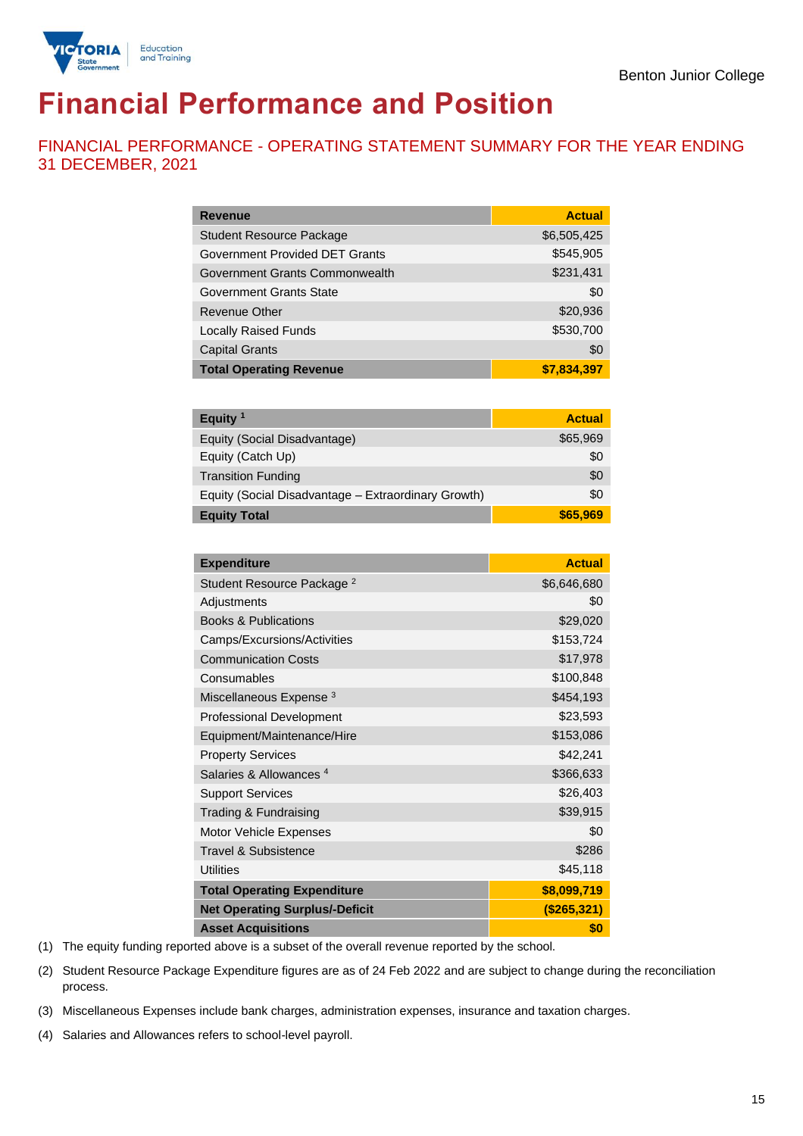

# **Financial Performance and Position**

FINANCIAL PERFORMANCE - OPERATING STATEMENT SUMMARY FOR THE YEAR ENDING 31 DECEMBER, 2021

| <b>Revenue</b>                        | <b>Actual</b> |
|---------------------------------------|---------------|
| <b>Student Resource Package</b>       | \$6,505,425   |
| <b>Government Provided DET Grants</b> | \$545,905     |
| Government Grants Commonwealth        | \$231,431     |
| <b>Government Grants State</b>        | \$0           |
| Revenue Other                         | \$20,936      |
| <b>Locally Raised Funds</b>           | \$530,700     |
| <b>Capital Grants</b>                 | \$0           |
| <b>Total Operating Revenue</b>        | \$7,834,397   |

| Equity $1$                                          | <b>Actual</b> |
|-----------------------------------------------------|---------------|
| Equity (Social Disadvantage)                        | \$65,969      |
| Equity (Catch Up)                                   | \$0           |
| <b>Transition Funding</b>                           | \$0           |
| Equity (Social Disadvantage - Extraordinary Growth) | \$0           |
| <b>Equity Total</b>                                 | \$65,969      |

| <b>Expenditure</b>                    | <b>Actual</b> |
|---------------------------------------|---------------|
| Student Resource Package <sup>2</sup> | \$6,646,680   |
| Adjustments                           | \$0           |
| <b>Books &amp; Publications</b>       | \$29,020      |
| Camps/Excursions/Activities           | \$153,724     |
| <b>Communication Costs</b>            | \$17,978      |
| Consumables                           | \$100,848     |
| Miscellaneous Expense <sup>3</sup>    | \$454,193     |
| <b>Professional Development</b>       | \$23,593      |
| Equipment/Maintenance/Hire            | \$153,086     |
| <b>Property Services</b>              | \$42,241      |
| Salaries & Allowances <sup>4</sup>    | \$366,633     |
| <b>Support Services</b>               | \$26,403      |
| Trading & Fundraising                 | \$39,915      |
| Motor Vehicle Expenses                | \$0           |
| Travel & Subsistence                  | \$286         |
| <b>Utilities</b>                      | \$45,118      |
| <b>Total Operating Expenditure</b>    | \$8,099,719   |
| <b>Net Operating Surplus/-Deficit</b> | (\$265,321)   |
| <b>Asset Acquisitions</b>             | \$0           |

(1) The equity funding reported above is a subset of the overall revenue reported by the school.

(2) Student Resource Package Expenditure figures are as of 24 Feb 2022 and are subject to change during the reconciliation process.

(3) Miscellaneous Expenses include bank charges, administration expenses, insurance and taxation charges.

(4) Salaries and Allowances refers to school-level payroll.